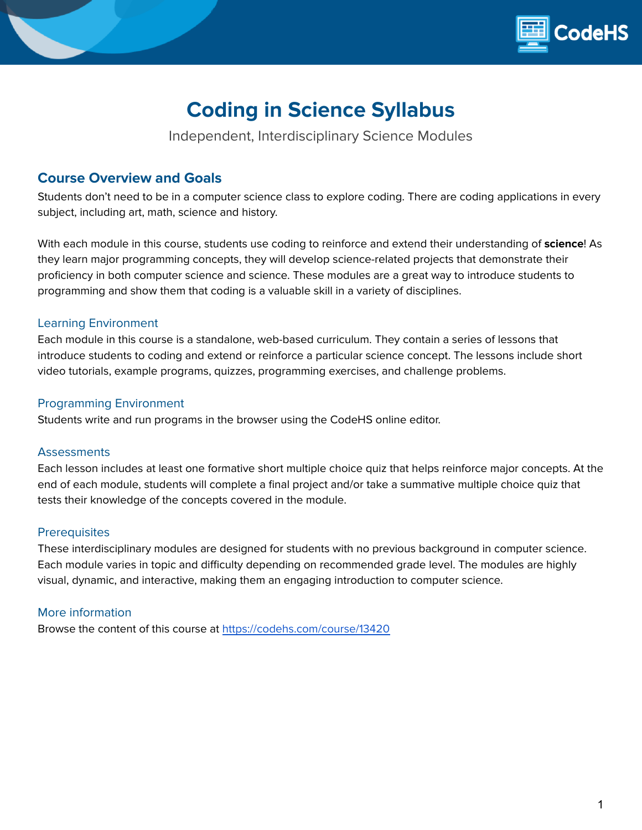

# **Coding in Science Syllabus**

Independent, Interdisciplinary Science Modules

## **Course Overview and Goals**

Students don't need to be in a computer science class to explore coding. There are coding applications in every subject, including art, math, science and history.

With each module in this course, students use coding to reinforce and extend their understanding of **science**! As they learn major programming concepts, they will develop science-related projects that demonstrate their proficiency in both computer science and science. These modules are a great way to introduce students to programming and show them that coding is a valuable skill in a variety of disciplines.

#### Learning Environment

Each module in this course is a standalone, web-based curriculum. They contain a series of lessons that introduce students to coding and extend or reinforce a particular science concept. The lessons include short video tutorials, example programs, quizzes, programming exercises, and challenge problems.

#### Programming Environment

Students write and run programs in the browser using the CodeHS online editor.

#### **Assessments**

Each lesson includes at least one formative short multiple choice quiz that helps reinforce major concepts. At the end of each module, students will complete a final project and/or take a summative multiple choice quiz that tests their knowledge of the concepts covered in the module.

#### **Prerequisites**

These interdisciplinary modules are designed for students with no previous background in computer science. Each module varies in topic and difficulty depending on recommended grade level. The modules are highly visual, dynamic, and interactive, making them an engaging introduction to computer science.

### More information

Browse the content of this course at <https://codehs.com/course/13420>